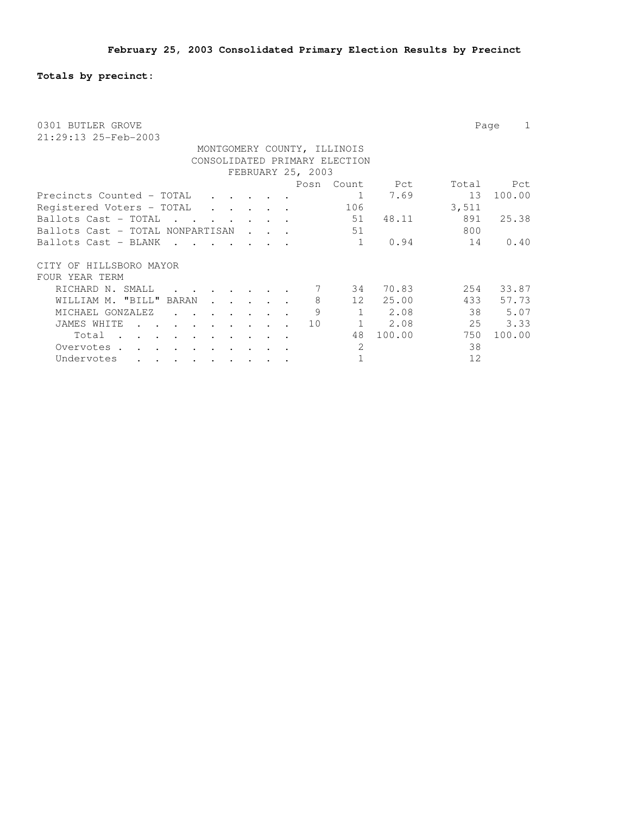**Totals by precinct:**

| 0301 BUTLER GROVE<br>21:29:13 25-Feb-2003        | Page<br>1             |
|--------------------------------------------------|-----------------------|
| MONTGOMERY COUNTY, ILLINOIS                      |                       |
| CONSOLIDATED PRIMARY ELECTION                    |                       |
|                                                  |                       |
| FEBRUARY 25, 2003                                |                       |
| Posn<br>Count                                    | Total<br>Pct<br>Pct   |
| Precincts Counted - TOTAL<br>1                   | 7.69<br>13<br>100.00  |
| 106<br>Registered Voters - TOTAL<br>$\mathbf{r}$ | 3,511                 |
| 51<br>Ballots Cast - TOTAL                       | 891<br>25.38<br>48.11 |
| 51<br>Ballots Cast - TOTAL NONPARTISAN           | 800                   |
| Ballots Cast - BLANK<br>1                        | 0.94<br>14<br>0.40    |
| HILLSBORO MAYOR<br>CITY OF                       |                       |
| FOUR YEAR TERM                                   |                       |
| RICHARD N. SMALL<br>34                           | 70.83<br>254<br>33.87 |
| 8<br>25.00<br>WILLIAM M. "BILL" BARAN<br>12      | 433<br>57.73          |
| 9<br>$\mathbf{1}$<br>MICHAEL GONZALEZ            | 38<br>2.08<br>5.07    |
| $\mathbf{1}$<br>JAMES WHITE<br>10                | 25<br>3.33<br>2.08    |
| 100.00<br>48<br>Total                            | 750<br>100.00         |
| 2<br>Overvotes.                                  | 38                    |
| 1<br>Undervotes                                  | 12                    |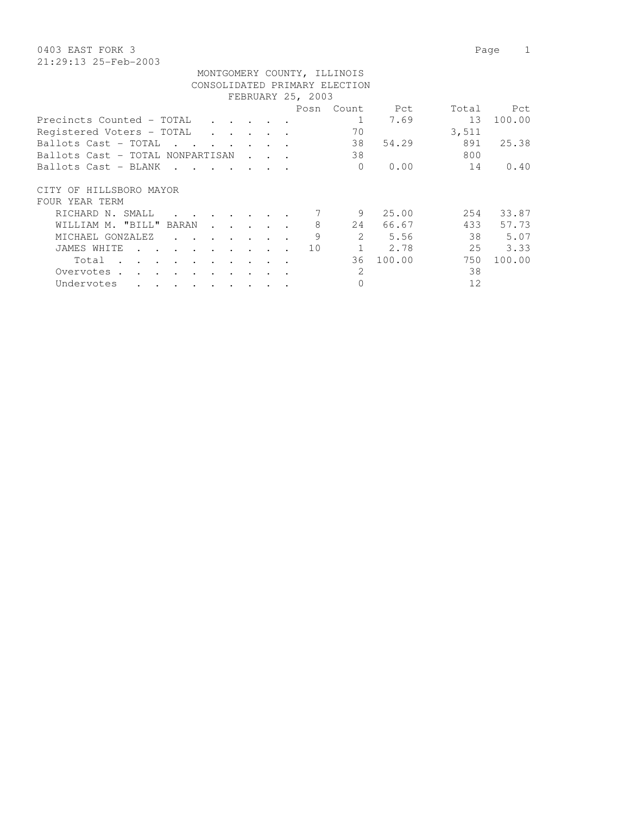| FEBRUARY 25, 2003                                                                     |  |  |  |  |      |               |        |       |        |  |  |  |
|---------------------------------------------------------------------------------------|--|--|--|--|------|---------------|--------|-------|--------|--|--|--|
|                                                                                       |  |  |  |  | Posn | Count         | Pct    | Total | Pct    |  |  |  |
| Precincts Counted - TOTAL                                                             |  |  |  |  |      |               | 7.69   | 13    | 100.00 |  |  |  |
| Registered Voters - TOTAL<br>$\cdot$ $\cdot$                                          |  |  |  |  |      | 70            |        | 3,511 |        |  |  |  |
| Ballots Cast - TOTAL<br><b>Contract Contract Street</b>                               |  |  |  |  |      | 38            | 54.29  | 891   | 25.38  |  |  |  |
| Ballots Cast - TOTAL NONPARTISAN                                                      |  |  |  |  |      | 38            |        | 800   |        |  |  |  |
| Ballots Cast - BLANK                                                                  |  |  |  |  |      | $\Omega$      | 0.00   | 14    | 0.40   |  |  |  |
| CITY OF HILLSBORO MAYOR                                                               |  |  |  |  |      |               |        |       |        |  |  |  |
| FOUR YEAR TERM                                                                        |  |  |  |  |      |               |        |       |        |  |  |  |
| RICHARD N. SMALL                                                                      |  |  |  |  |      | 9             | 25.00  | 254   | 33.87  |  |  |  |
| WILLIAM M. "BILL" BARAN<br>$\ddot{\phantom{a}}$                                       |  |  |  |  | 8    | 24            | 66.67  | 433   | 57.73  |  |  |  |
| MICHAEL GONZALEZ<br>$\mathbf{r} = \mathbf{r}$<br>$\ddot{\phantom{a}}$                 |  |  |  |  | 9    | 2.            | 5.56   | 38    | 5.07   |  |  |  |
| JAMES WHITE<br>$\bullet$                                                              |  |  |  |  | 10   |               | 2.78   | 25    | 3.33   |  |  |  |
| Total<br>$\sim$<br>$\mathbf{r}$<br>$\cdot$ $\cdot$<br>$\cdot$<br>$\ddot{\phantom{a}}$ |  |  |  |  |      | 36            | 100.00 | 750   | 100.00 |  |  |  |
| Overvotes<br>$\sim$                                                                   |  |  |  |  |      | $\mathcal{L}$ |        | 38    |        |  |  |  |
| Undervotes<br>$\bullet$<br>$\bullet$<br>$\bullet$<br>$\bullet$<br>$\bullet$           |  |  |  |  |      | 0             |        | 12    |        |  |  |  |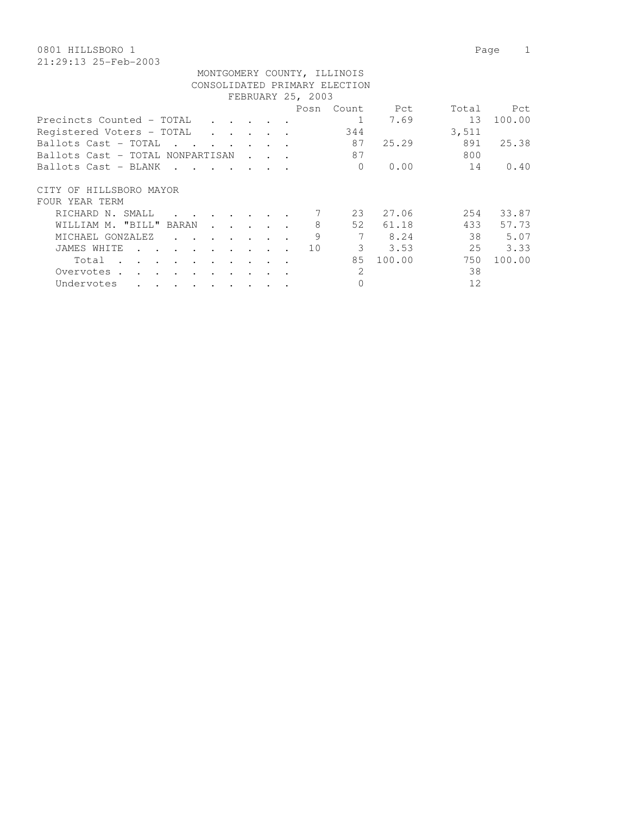| FEBRUARY 25, 2003                                                                                  |  |  |  |  |      |               |        |       |        |  |  |  |
|----------------------------------------------------------------------------------------------------|--|--|--|--|------|---------------|--------|-------|--------|--|--|--|
|                                                                                                    |  |  |  |  | Posn | Count         | Pct    | Total | Pct    |  |  |  |
| Precincts Counted - TOTAL                                                                          |  |  |  |  |      |               | 7.69   | 13    | 100.00 |  |  |  |
| Registered Voters - TOTAL<br>$\cdot$ $\cdot$                                                       |  |  |  |  |      | 344           |        | 3,511 |        |  |  |  |
| Ballots Cast - TOTAL<br><b>Contract Contract Street</b>                                            |  |  |  |  |      | 87            | 25.29  | 891   | 25.38  |  |  |  |
| Ballots Cast - TOTAL NONPARTISAN                                                                   |  |  |  |  |      | 87            |        | 800   |        |  |  |  |
| Ballots Cast - BLANK                                                                               |  |  |  |  |      | $\Omega$      | 0.00   | 14    | 0.40   |  |  |  |
| CITY OF HILLSBORO MAYOR                                                                            |  |  |  |  |      |               |        |       |        |  |  |  |
| FOUR YEAR TERM                                                                                     |  |  |  |  |      |               |        |       |        |  |  |  |
| RICHARD N. SMALL                                                                                   |  |  |  |  |      | 23            | 27.06  | 254   | 33.87  |  |  |  |
| WILLIAM M. "BILL" BARAN<br>$\ddot{\phantom{a}}$                                                    |  |  |  |  | 8    | 52            | 61.18  | 433   | 57.73  |  |  |  |
| MICHAEL GONZALEZ<br>$\mathbf{r} = \mathbf{r}$<br>$\ddot{\phantom{a}}$                              |  |  |  |  | 9    |               | 8.24   | 38    | 5.07   |  |  |  |
| JAMES WHITE<br>$\bullet$                                                                           |  |  |  |  | 10   | 3             | 3.53   | 25    | 3.33   |  |  |  |
| Total<br>$\sim$<br>$\mathbf{r}$<br>$\cdot$ $\cdot$<br>$\ddot{\phantom{a}}$<br>$\ddot{\phantom{a}}$ |  |  |  |  |      | 85            | 100.00 | 750   | 100.00 |  |  |  |
| Overvotes<br>$\sim$                                                                                |  |  |  |  |      | $\mathcal{L}$ |        | 38    |        |  |  |  |
| Undervotes<br>$\bullet$<br>$\bullet$<br>$\bullet$<br>$\bullet$<br>$\bullet$                        |  |  |  |  |      | 0             |        | 12    |        |  |  |  |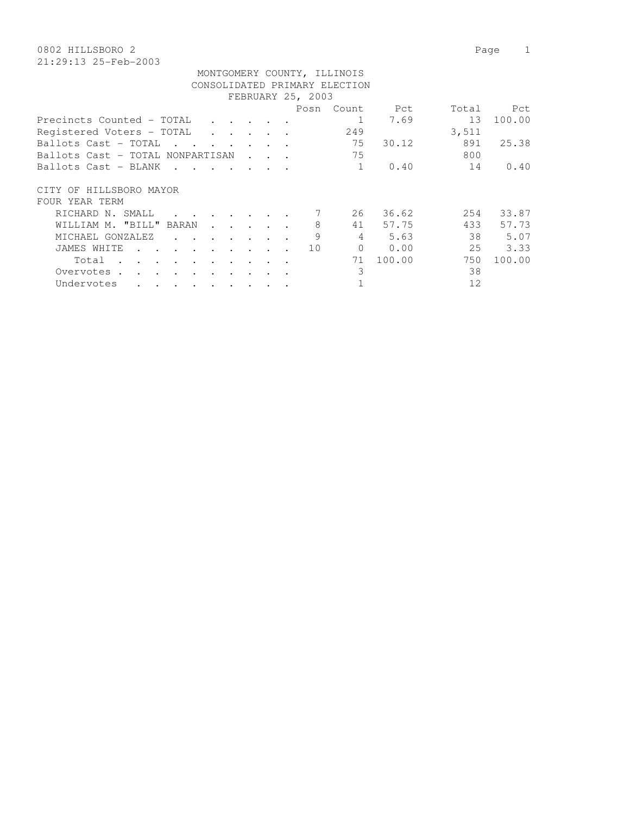| MONTGOMERY COUNTY, ILLINOIS                                 |                                 |                   |              |        |       |        |
|-------------------------------------------------------------|---------------------------------|-------------------|--------------|--------|-------|--------|
| CONSOLIDATED PRIMARY ELECTION                               |                                 |                   |              |        |       |        |
|                                                             |                                 | FEBRUARY 25, 2003 |              |        |       |        |
|                                                             |                                 | Posn              | Count        | Pct    | Total | Pct    |
| Precincts Counted – TOTAL                                   |                                 |                   |              | 7.69   | 13    | 100.00 |
| Registered Voters - TOTAL<br>$\mathbf{r}$ $\mathbf{r}$      |                                 |                   | 249          |        | 3,511 |        |
| Ballots Cast – TOTAL<br>and the state<br>and the control of |                                 |                   | 75           | 30.12  | 891   | 25.38  |
| Ballots Cast – TOTAL NONPARTISAN                            | $\cdot$ $\cdot$ $\cdot$ $\cdot$ |                   | 75           |        | 800   |        |
| Ballots Cast – BLANK<br>$\sim$ $\sim$                       |                                 |                   | $\mathbf{1}$ | 0.40   | 14    | 0.40   |
| CITY OF HILLSBORO MAYOR                                     |                                 |                   |              |        |       |        |
| FOUR YEAR TERM                                              |                                 |                   |              |        |       |        |
| RICHARD N. SMALL                                            |                                 |                   | 26           | 36.62  | 254   | 33.87  |
| WILLIAM M. "BILL" BARAN                                     |                                 | 8                 | 41           | 57.75  | 433   | 57.73  |
| MICHAEL GONZALEZ<br>$\sim$                                  |                                 | 9                 | 4            | 5.63   | 38    | 5.07   |
| JAMES WHITE                                                 |                                 | 10                | $\Omega$     | 0.00   | 25    | 3.33   |
| Total                                                       |                                 |                   | 71           | 100.00 | 750   | 100.00 |
| Overvotes.                                                  |                                 |                   | 3            |        | 38    |        |
| Undervotes<br>$\ddot{\phantom{0}}$<br>$\bullet$             |                                 |                   |              |        | 12    |        |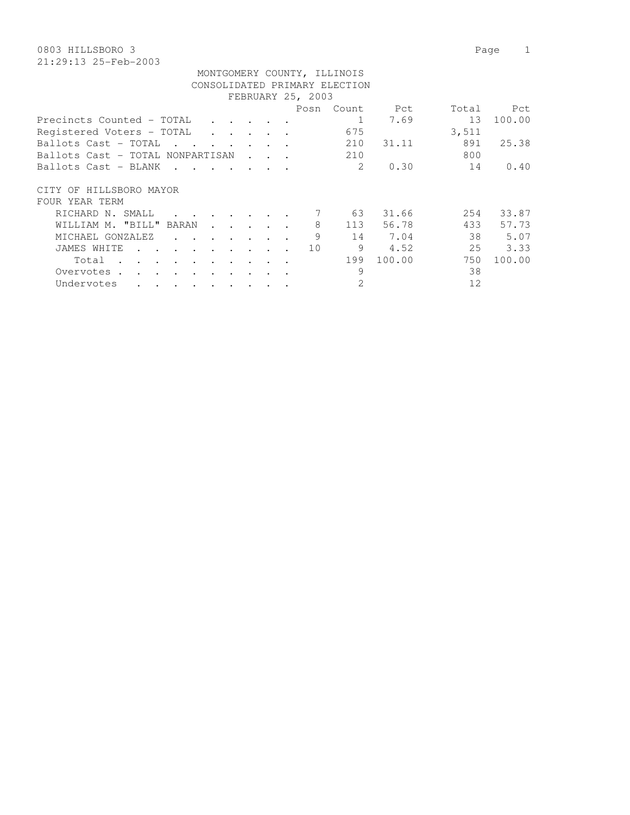|                                                                                               | MONTGOMERY COUNTY, ILLINOIS |        |       |       |        |  |  |  |  |  |  |  |  |
|-----------------------------------------------------------------------------------------------|-----------------------------|--------|-------|-------|--------|--|--|--|--|--|--|--|--|
| CONSOLIDATED PRIMARY ELECTION                                                                 |                             |        |       |       |        |  |  |  |  |  |  |  |  |
| FEBRUARY 25, 2003                                                                             |                             |        |       |       |        |  |  |  |  |  |  |  |  |
|                                                                                               | Posn                        | Count. | Pct   | Total | Pct    |  |  |  |  |  |  |  |  |
| Precincts Counted - TOTAL                                                                     |                             |        | 7.69  | 13    | 100.00 |  |  |  |  |  |  |  |  |
| Registered Voters - TOTAL                                                                     |                             | 675    |       | 3,511 |        |  |  |  |  |  |  |  |  |
| Ballots Cast - TOTAL<br>$\mathbf{r}$ , and $\mathbf{r}$ , and $\mathbf{r}$ , and $\mathbf{r}$ |                             | 210    | 31.11 | 891   | 25.38  |  |  |  |  |  |  |  |  |
| Ballots Cast - TOTAL NONPARTISAN<br>$\mathbf{r}$ . The set of $\mathbf{r}$                    |                             | 210    |       | 800   |        |  |  |  |  |  |  |  |  |
| Ballots Cast - BLANK                                                                          |                             | 2      | 0.30  | 14    | 0.40   |  |  |  |  |  |  |  |  |
|                                                                                               |                             |        |       |       |        |  |  |  |  |  |  |  |  |
| CITY OF HILLSBORO MAYOR                                                                       |                             |        |       |       |        |  |  |  |  |  |  |  |  |
| FOUR YEAR TERM                                                                                |                             |        |       |       |        |  |  |  |  |  |  |  |  |
| RICHARD N. SMALL<br>$\cdot$ $\cdot$ $\cdot$ $\cdot$ $\cdot$ $\cdot$ $\cdot$                   | 7                           | 63     | 31.66 | 254   | 33.87  |  |  |  |  |  |  |  |  |

| RICHARD N. SMALL 7      |  |                                                                       |  |  |  |   | 63  | 31.66  | 2.54 | 33.87  |
|-------------------------|--|-----------------------------------------------------------------------|--|--|--|---|-----|--------|------|--------|
| WILLIAM M. "BILL" BARAN |  |                                                                       |  |  |  |   | 113 | 56.78  | 433  | 57.73  |
| MICHAEL GONZALEZ        |  |                                                                       |  |  |  | 9 | 14  | 7.04   | 38   | 5.07   |
| JAMES WHITE 10          |  |                                                                       |  |  |  |   | 9   | 4.52   | 25   | 3.33   |
| Total                   |  |                                                                       |  |  |  |   | 199 | 100.00 | 750  | 100.00 |
| Overvotes.              |  |                                                                       |  |  |  |   |     |        | 38   |        |
| Undervotes              |  | $\mathbf{r}$ , and $\mathbf{r}$ , and $\mathbf{r}$ , and $\mathbf{r}$ |  |  |  |   |     |        | 12   |        |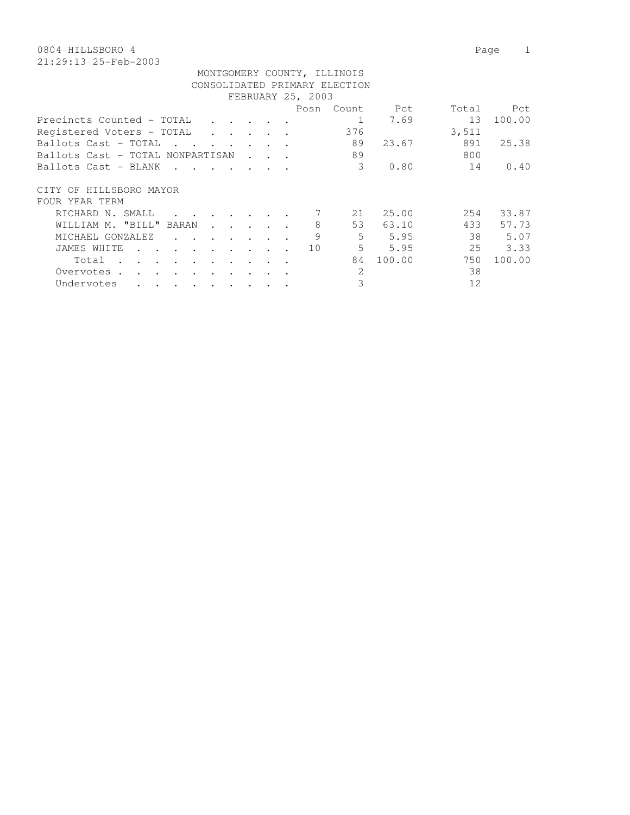|                                  |  |                                                 |     | Pct                                                            | Total                         | Pct    |
|----------------------------------|--|-------------------------------------------------|-----|----------------------------------------------------------------|-------------------------------|--------|
|                                  |  |                                                 | 1   | 7.69                                                           | 13                            | 100.00 |
|                                  |  |                                                 | 376 |                                                                | 3,511                         |        |
| and the control of               |  |                                                 | 89  | 23.67                                                          | 891                           | 25.38  |
| Ballots Cast – TOTAL NONPARTISAN |  |                                                 | 89  |                                                                | 800                           |        |
|                                  |  |                                                 | 3   | 0.80                                                           | 14                            | 0.40   |
|                                  |  |                                                 |     |                                                                |                               |        |
|                                  |  |                                                 | 21  | 25.00                                                          | 254                           | 33.87  |
|                                  |  | 8                                               | 53  | 63.10                                                          | 433                           | 57.73  |
|                                  |  | 9                                               | 5   | 5.95                                                           | 38                            | 5.07   |
|                                  |  | 10                                              | 5   | 5.95                                                           | 25                            | 3.33   |
|                                  |  |                                                 | 84  | 100.00                                                         | 750                           | 100.00 |
|                                  |  |                                                 | 2   |                                                                | 38                            |        |
|                                  |  |                                                 | 3   |                                                                | 12                            |        |
|                                  |  | $\cdot$ $\cdot$ $\cdot$ $\cdot$ $\cdot$ $\cdot$ |     | MONTGOMERY COUNTY, ILLINOIS<br>FEBRUARY 25, 2003<br>Posn Count | CONSOLIDATED PRIMARY ELECTION |        |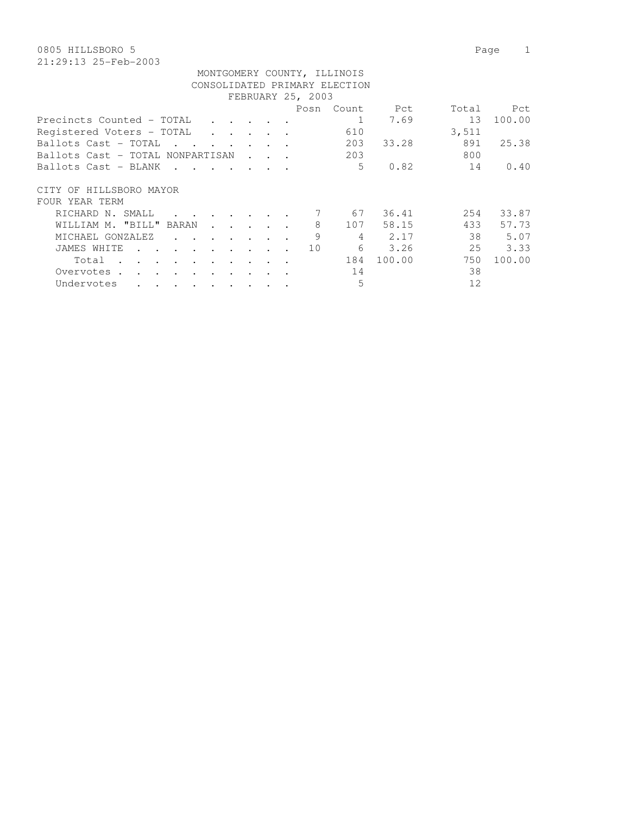| MONTGOMERY COUNTY, ILLINOIS                                                  |  |  |                   |            |        |                 |        |  |  |  |  |  |
|------------------------------------------------------------------------------|--|--|-------------------|------------|--------|-----------------|--------|--|--|--|--|--|
| CONSOLIDATED PRIMARY ELECTION                                                |  |  |                   |            |        |                 |        |  |  |  |  |  |
|                                                                              |  |  | FEBRUARY 25, 2003 |            |        |                 |        |  |  |  |  |  |
|                                                                              |  |  |                   | Posn Count | Pct    | Total           | Pct    |  |  |  |  |  |
| Precincts Counted - TOTAL<br>$\cdot$ $\cdot$ $\cdot$ $\cdot$                 |  |  |                   |            | 7.69   | 13 <sup>°</sup> | 100.00 |  |  |  |  |  |
| Registered Voters - TOTAL<br>$\cdot$ $\cdot$ $\cdot$ $\cdot$ $\cdot$ $\cdot$ |  |  |                   | 610        |        | 3,511           |        |  |  |  |  |  |
| Ballots Cast – TOTAL<br>$\mathbf{r}$ , $\mathbf{r}$ , $\mathbf{r}$           |  |  |                   | 203        | 33.28  | 891             | 25.38  |  |  |  |  |  |
| Ballots Cast – TOTAL NONPARTISAN                                             |  |  |                   | 203        |        | 800             |        |  |  |  |  |  |
| Ballots Cast – BLANK<br>$\sim$ $\sim$ $\sim$ $\sim$ $\sim$                   |  |  |                   | 5          | 0.82   | 14              | 0.40   |  |  |  |  |  |
| CITY OF HILLSBORO MAYOR                                                      |  |  |                   |            |        |                 |        |  |  |  |  |  |
| FOUR YEAR TERM                                                               |  |  |                   |            |        |                 |        |  |  |  |  |  |
| RICHARD N. SMALL                                                             |  |  |                   | 67         | 36.41  | 254             | 33.87  |  |  |  |  |  |
| WILLIAM M. "BILL" BARAN<br>$\sim$ $\sim$                                     |  |  | 8                 | 107        | 58.15  | 433             | 57.73  |  |  |  |  |  |
| MICHAEL GONZALEZ<br>$\cdot$ $\cdot$<br>$\sim$ $\sim$ $\sim$                  |  |  | 9                 | 4          | 2.17   | 38              | 5.07   |  |  |  |  |  |
| JAMES WHITE<br>$\sim$ $\sim$ $\sim$                                          |  |  | 10                | 6          | 3.26   | 25              | 3.33   |  |  |  |  |  |
| Total<br>$\sim$                                                              |  |  |                   | 184        | 100.00 | 750             | 100.00 |  |  |  |  |  |
| Overvotes.                                                                   |  |  |                   | 14         |        | 38              |        |  |  |  |  |  |
| Undervotes                                                                   |  |  |                   | 5          |        | 12              |        |  |  |  |  |  |
|                                                                              |  |  |                   |            |        |                 |        |  |  |  |  |  |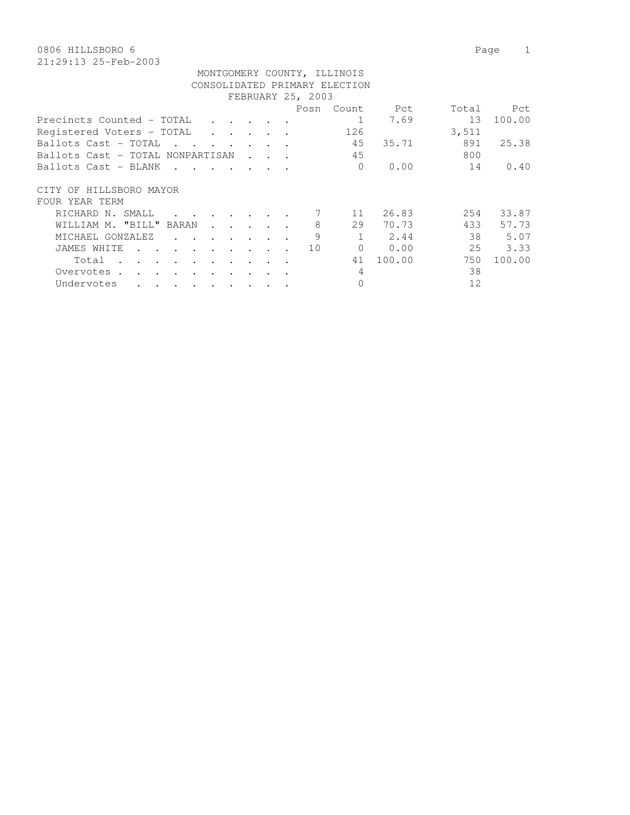| MONTGOMERY COUNTY, ILLINOIS<br>CONSOLIDATED PRIMARY ELECTION<br>FEBRUARY 25, 2003 |  |  |  |           |       |       |        |  |  |  |  |  |
|-----------------------------------------------------------------------------------|--|--|--|-----------|-------|-------|--------|--|--|--|--|--|
| Total<br><b>Propertion</b><br>Posn<br>Count.<br>Pct                               |  |  |  |           |       |       |        |  |  |  |  |  |
|                                                                                   |  |  |  |           |       |       |        |  |  |  |  |  |
| Precincts Counted - TOTAL                                                         |  |  |  |           | 7.69  | 13    | 100.00 |  |  |  |  |  |
| Registered Voters - TOTAL                                                         |  |  |  | 126       |       | 3,511 |        |  |  |  |  |  |
| Ballots Cast - TOTAL                                                              |  |  |  | 45        | 35.71 | 891   | 25.38  |  |  |  |  |  |
| Ballots Cast - TOTAL NONPARTISAN                                                  |  |  |  | 45        |       | 800   |        |  |  |  |  |  |
| Ballots Cast - BLANK                                                              |  |  |  | $\bigcap$ | 0.00  | 14    | 0.40   |  |  |  |  |  |
| HILLSBORO MAYOR<br>CITY OF                                                        |  |  |  |           |       |       |        |  |  |  |  |  |

| FOUR YEAR TERM          |                 |                                                                                         |  |  |  |                      |    |        |     |        |
|-------------------------|-----------------|-----------------------------------------------------------------------------------------|--|--|--|----------------------|----|--------|-----|--------|
| RICHARD N. SMALL        |                 | $\mathbf{r}$ , $\mathbf{r}$ , $\mathbf{r}$ , $\mathbf{r}$ , $\mathbf{r}$ , $\mathbf{r}$ |  |  |  | $\sim$ $\sim$ $\sim$ |    | 26.83  | 254 | 33.87  |
| WILLIAM M. "BILL" BARAN |                 |                                                                                         |  |  |  | 8                    | 29 | 70.73  | 433 | 57.73  |
| MICHAEL GONZALEZ        |                 |                                                                                         |  |  |  | 9                    |    | 2.44   | 38  | 5.07   |
| JAMES WHITE             |                 |                                                                                         |  |  |  | 10                   |    | 0.00   | 25  | 3.33   |
| Total                   |                 |                                                                                         |  |  |  |                      | 41 | 100.00 | 750 | 100.00 |
| Overvotes.              |                 |                                                                                         |  |  |  |                      | 4  |        | 38  |        |
| Undervotes              | $\cdot$ $\cdot$ | $\mathbf{r}$ , $\mathbf{r}$ , $\mathbf{r}$ , $\mathbf{r}$ , $\mathbf{r}$ , $\mathbf{r}$ |  |  |  |                      |    |        | 12  |        |
|                         |                 |                                                                                         |  |  |  |                      |    |        |     |        |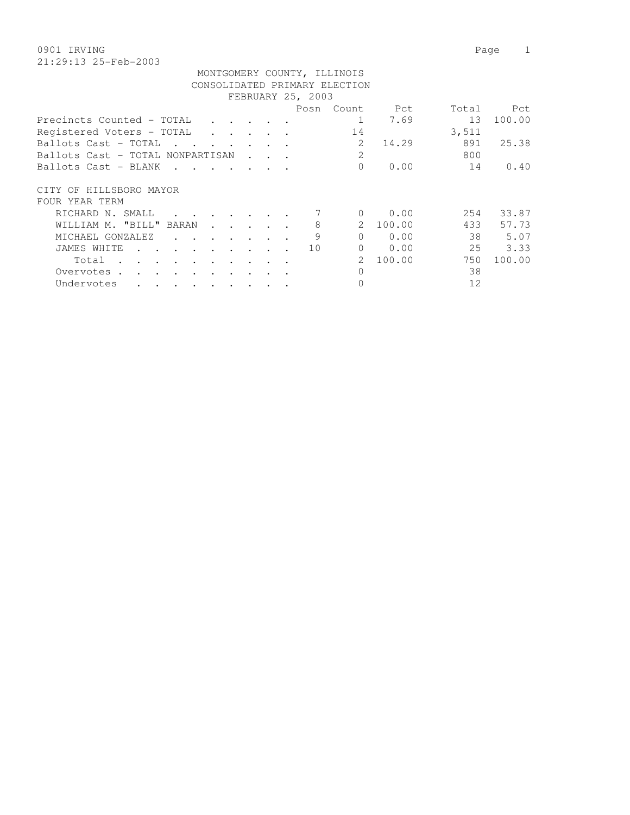0901 IRVING Page 1 21:29:13 25-Feb-2003

| MONTGOMERY COUNTY, ILLINOIS                       |  |                   |                             |        |       |        |
|---------------------------------------------------|--|-------------------|-----------------------------|--------|-------|--------|
| CONSOLIDATED PRIMARY ELECTION                     |  |                   |                             |        |       |        |
|                                                   |  | FEBRUARY 25, 2003 |                             |        |       |        |
|                                                   |  | Posn              | Count                       | Pct    | Total | Pct    |
| Precincts Counted – TOTAL                         |  |                   |                             | 7.69   | 13    | 100.00 |
| Registered Voters - TOTAL<br>$\ddot{\phantom{1}}$ |  |                   | 14                          |        | 3,511 |        |
| Ballots Cast – TOTAL                              |  |                   | 2                           | 14.29  | 891   | 25.38  |
| Ballots Cast – TOTAL NONPARTISAN                  |  |                   | $\overline{2}$              |        | 800   |        |
| Ballots Cast – BLANK<br>$\mathbf{L} = \mathbf{L}$ |  |                   | $\Omega$                    | 0.00   | 14    | 0.40   |
| CITY OF HILLSBORO MAYOR<br>FOUR YEAR TERM         |  |                   |                             |        |       |        |
| RICHARD N. SMALL                                  |  |                   | $\Omega$                    | 0.00   | 254   | 33.87  |
| WILLIAM M. "BILL" BARAN                           |  | 8                 | $\mathcal{L}$               | 100.00 | 433   | 57.73  |
| MICHAEL GONZALEZ                                  |  | 9                 | $\bigcap$                   | 0.00   | 38    | 5.07   |
| JAMES WHITE                                       |  | 10                | $\Omega$                    | 0.00   | 25    | 3.33   |
| Total                                             |  |                   | $\mathcal{D}_{\mathcal{L}}$ | 100.00 | 750   | 100.00 |
| Overvotes.                                        |  |                   | $\Omega$                    |        | 38    |        |
| Undervotes                                        |  |                   |                             |        | 12    |        |
|                                                   |  |                   |                             |        |       |        |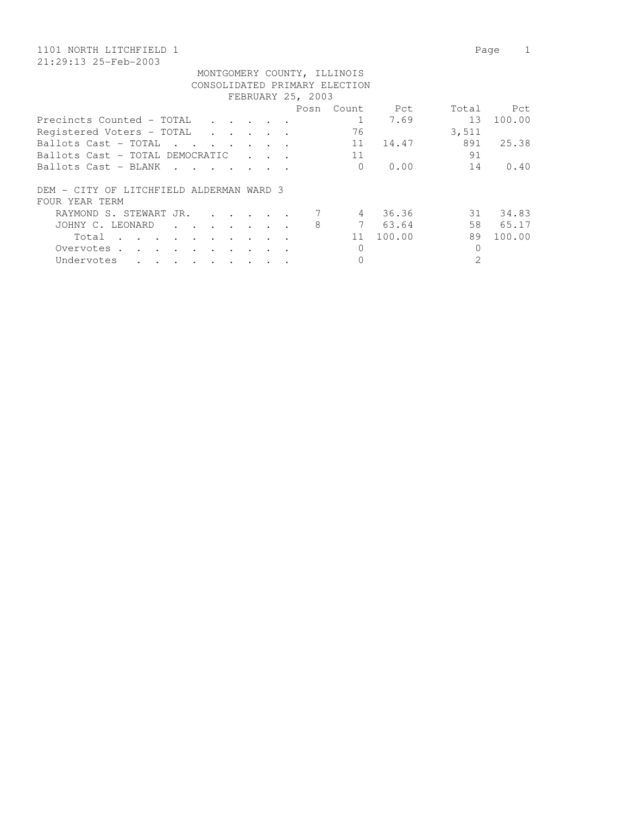#### 1101 NORTH LITCHFIELD 1 Page 1 21:29:13 25-Feb-2003

| FEBRUARY 25, 2003                                                                                |               |  |  |  |      |          |        |       |        |  |  |  |
|--------------------------------------------------------------------------------------------------|---------------|--|--|--|------|----------|--------|-------|--------|--|--|--|
|                                                                                                  |               |  |  |  | Posn | Count    | Pct    | Total | Pct    |  |  |  |
| Precincts Counted - TOTAL<br>$\cdot$ $\cdot$ $\cdot$ $\cdot$ $\cdot$ $\cdot$                     |               |  |  |  |      |          | 7.69   | 13    | 100.00 |  |  |  |
| Registered Voters - TOTAL<br>$\ddot{\phantom{a}}$                                                |               |  |  |  |      | 76       |        | 3,511 |        |  |  |  |
| Ballots Cast - TOTAL<br>$\mathbf{r}$ , and $\mathbf{r}$ , and $\mathbf{r}$ , and $\mathbf{r}$    |               |  |  |  |      | 11       | 14.47  | 891   | 25.38  |  |  |  |
| Ballots Cast - TOTAL DEMOCRATIC                                                                  |               |  |  |  |      | 11       |        | 91    |        |  |  |  |
| Ballots Cast - BLANK<br>$\mathbf{r}$ , $\mathbf{r}$ , $\mathbf{r}$ , $\mathbf{r}$ , $\mathbf{r}$ |               |  |  |  |      | $\Omega$ | 0.00   | 14    | 0.40   |  |  |  |
| DEM - CITY OF LITCHFIELD ALDERMAN WARD 3                                                         |               |  |  |  |      |          |        |       |        |  |  |  |
| FOUR YEAR TERM                                                                                   |               |  |  |  |      |          |        |       |        |  |  |  |
| RAYMOND S. STEWART JR.<br>$\mathbf{r}$ , $\mathbf{r}$ , $\mathbf{r}$ , $\mathbf{r}$              |               |  |  |  |      | 4        | 36.36  | 31    | 34.83  |  |  |  |
| JOHNY C. LEONARD<br>$\cdot$                                                                      |               |  |  |  | 8    |          | 63.64  | 58    | 65.17  |  |  |  |
| Total<br>$\sim$ 100 $\mu$<br>$\cdot$                                                             | $\sim$ $\sim$ |  |  |  |      | 11       | 100.00 | 89    | 100.00 |  |  |  |
| Overvotes.<br>$\sim$ $\sim$<br>$\cdot$ $\cdot$<br>$\bullet$<br>$\cdot$                           |               |  |  |  |      | 0        |        |       |        |  |  |  |
| Undervotes<br>$\sim$ $\sim$ $\sim$<br>$\cdot$                                                    |               |  |  |  |      |          |        | 2     |        |  |  |  |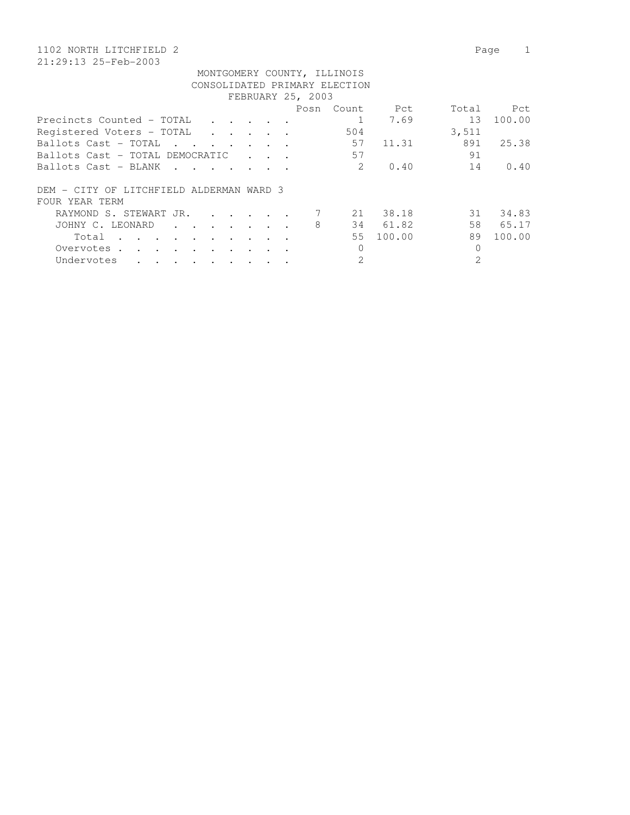# 1102 NORTH LITCHFIELD 2 Page 1

21:29:13 25-Feb-2003

| FEBRUARY 25, 2003                                                                                                                          |                                         |  |  |  |      |                |        |       |        |  |
|--------------------------------------------------------------------------------------------------------------------------------------------|-----------------------------------------|--|--|--|------|----------------|--------|-------|--------|--|
|                                                                                                                                            |                                         |  |  |  | Posn | Count.         | Pct    | Total | -Pct.  |  |
| Precincts Counted - TOTAL                                                                                                                  | $\cdot$ $\cdot$ $\cdot$ $\cdot$ $\cdot$ |  |  |  |      |                | 7.69   | 13    | 100.00 |  |
| Registered Voters - TOTAL<br>$\mathbf{r}$ , $\mathbf{r}$ , $\mathbf{r}$ , $\mathbf{r}$ , $\mathbf{r}$                                      |                                         |  |  |  |      | 504            |        | 3,511 |        |  |
| Ballots Cast - TOTAL<br>$\sim$ $\sim$ $\sim$<br><b><i>Contract State</i></b>                                                               |                                         |  |  |  |      | 57             | 11.31  | 891   | 25.38  |  |
| Ballots Cast - TOTAL DEMOCRATIC                                                                                                            |                                         |  |  |  |      | 57             |        | 91    |        |  |
| Ballots Cast - BLANK<br>$\mathbf{r}$ . The set of $\mathbf{r}$<br>$\sim$ $\sim$ $\sim$ $\sim$                                              |                                         |  |  |  |      | $\mathcal{L}$  | 0.40   | 14    | 0.40   |  |
| DEM - CITY OF LITCHFIELD ALDERMAN WARD 3                                                                                                   |                                         |  |  |  |      |                |        |       |        |  |
| FOUR YEAR TERM                                                                                                                             |                                         |  |  |  |      |                |        |       |        |  |
| RAYMOND S. STEWART JR.<br>$\mathbf{r}$ , $\mathbf{r}$ , $\mathbf{r}$ , $\mathbf{r}$                                                        |                                         |  |  |  |      | 21             | 38.18  | 31    | 34.83  |  |
| JOHNY C. LEONARD                                                                                                                           |                                         |  |  |  | 8    | 34             | 61.82  | 58    | 65.17  |  |
| Total                                                                                                                                      |                                         |  |  |  |      | 55             | 100.00 | 89    | 100.00 |  |
| Overvotes.<br>$\sim$ $\sim$<br>$\ddot{\phantom{0}}$                                                                                        |                                         |  |  |  |      | $\Omega$       |        | 0     |        |  |
| Undervotes<br>$\bullet$<br>the contract of the contract of the contract of the contract of the contract of the contract of the contract of |                                         |  |  |  |      | $\overline{2}$ |        |       |        |  |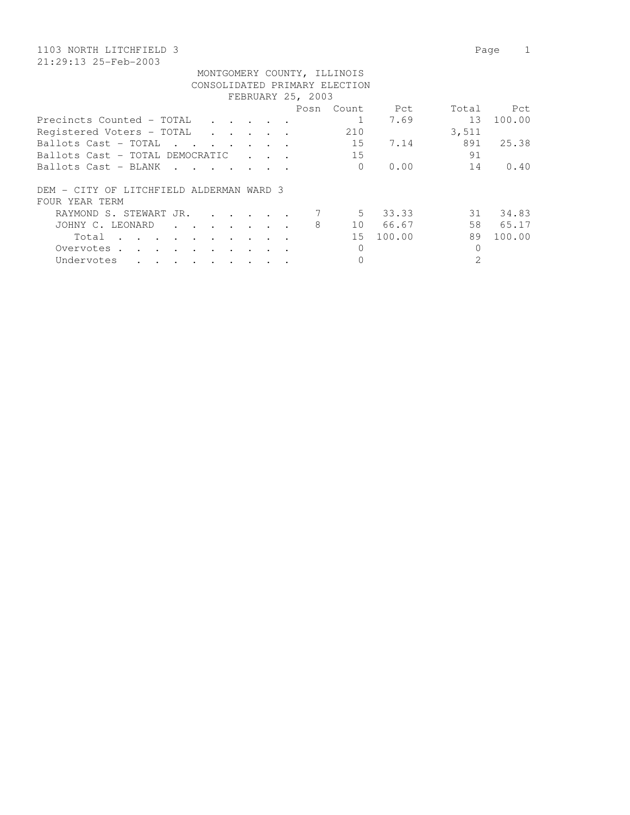# 1103 NORTH LITCHFIELD 3 Page 1

|                                                                                                                                                                                                                                                  |                                            |  | FEBRUARY 25, 2003 |          |          |          |        |
|--------------------------------------------------------------------------------------------------------------------------------------------------------------------------------------------------------------------------------------------------|--------------------------------------------|--|-------------------|----------|----------|----------|--------|
|                                                                                                                                                                                                                                                  |                                            |  | Posn              | Count    | Pct      | Total    | Pct    |
| Precincts Counted - TOTAL                                                                                                                                                                                                                        |                                            |  |                   |          | 7.69     | 13       | 100.00 |
| Reqistered Voters - TOTAL                                                                                                                                                                                                                        |                                            |  |                   | 210      |          | 3,511    |        |
| Ballots Cast - TOTAL                                                                                                                                                                                                                             |                                            |  |                   | 15       | 7.14     | 891      | 25.38  |
| Ballots Cast - TOTAL DEMOCRATIC                                                                                                                                                                                                                  | $\mathbf{r}$ , $\mathbf{r}$ , $\mathbf{r}$ |  |                   | 15       |          | 91       |        |
| Ballots Cast - BLANK                                                                                                                                                                                                                             |                                            |  |                   | $\Omega$ | 0.00     | 14       | 0.40   |
| DEM - CITY OF LITCHFIELD ALDERMAN WARD 3                                                                                                                                                                                                         |                                            |  |                   |          |          |          |        |
| FOUR YEAR TERM                                                                                                                                                                                                                                   |                                            |  |                   |          |          |          |        |
| RAYMOND S. STEWART JR.                                                                                                                                                                                                                           |                                            |  |                   |          | 5 33.33  | 31       | 34.83  |
| JOHNY C. LEONARD                                                                                                                                                                                                                                 |                                            |  | 8                 |          | 10 66.67 | 58       | 65.17  |
| Total                                                                                                                                                                                                                                            |                                            |  |                   | 15       | 100.00   | 89       | 100.00 |
| Overvotes.                                                                                                                                                                                                                                       |                                            |  |                   | $\Omega$ |          | $\Omega$ |        |
| Undervotes<br>$\bullet$ . In the contribution of the contribution of the contribution of the contribution of the contribution of the contribution of the contribution of the contribution of the contribution of the contribution of the contrib |                                            |  |                   |          |          |          |        |